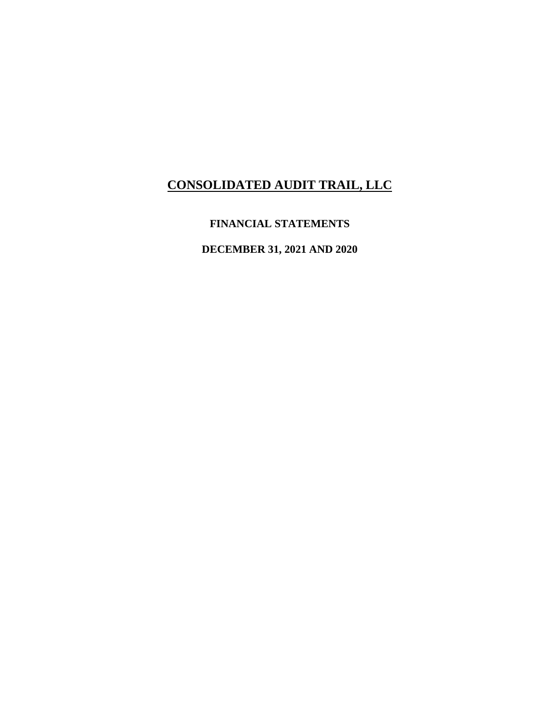### **FINANCIAL STATEMENTS**

**DECEMBER 31, 2021 AND 2020**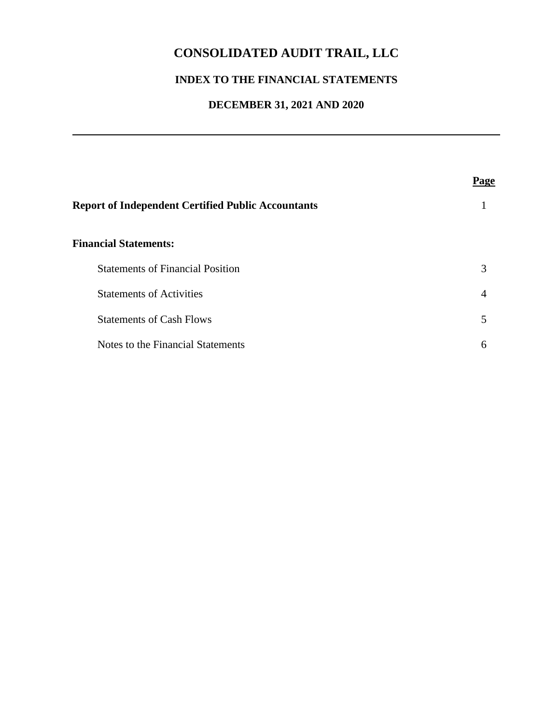## **INDEX TO THE FINANCIAL STATEMENTS**

## **DECEMBER 31, 2021 AND 2020**

| <b>Report of Independent Certified Public Accountants</b> |   |
|-----------------------------------------------------------|---|
| <b>Financial Statements:</b>                              |   |
| <b>Statements of Financial Position</b>                   | 3 |
| <b>Statements of Activities</b>                           | 4 |
| <b>Statements of Cash Flows</b>                           | 5 |
| Notes to the Financial Statements                         | 6 |
|                                                           |   |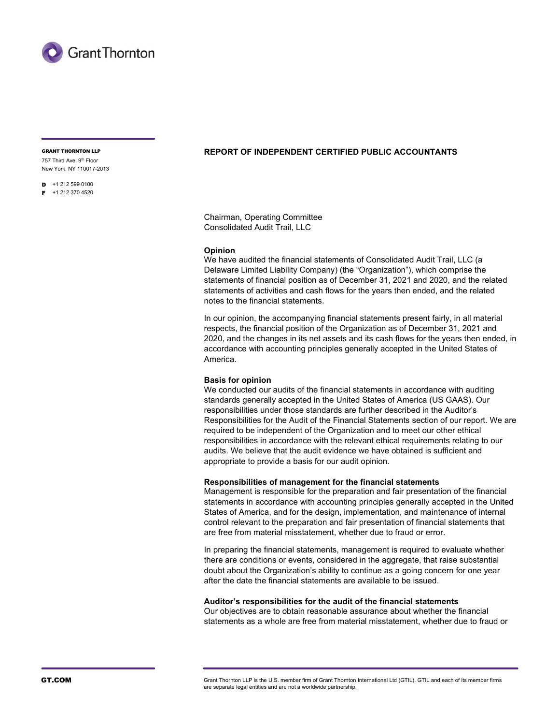

757 Third Ave, 9th Floor New York, NY 110017-2013

 $\mathsf{D}$  +1 212 599 0100  $F + 12123704520$ 

#### GRANT THORNTON LLP REPORT OF INDEPENDENT CERTIFIED PUBLIC ACCOUNTANTS

Chairman, Operating Committee Consolidated Audit Trail, LLC

#### Opinion

We have audited the financial statements of Consolidated Audit Trail, LLC (a Delaware Limited Liability Company) (the "Organization"), which comprise the statements of financial position as of December 31, 2021 and 2020, and the related statements of activities and cash flows for the years then ended, and the related notes to the financial statements.

In our opinion, the accompanying financial statements present fairly, in all material respects, the financial position of the Organization as of December 31, 2021 and 2020, and the changes in its net assets and its cash flows for the years then ended, in accordance with accounting principles generally accepted in the United States of America.

#### Basis for opinion

We conducted our audits of the financial statements in accordance with auditing standards generally accepted in the United States of America (US GAAS). Our responsibilities under those standards are further described in the Auditor's Responsibilities for the Audit of the Financial Statements section of our report. We are required to be independent of the Organization and to meet our other ethical responsibilities in accordance with the relevant ethical requirements relating to our audits. We believe that the audit evidence we have obtained is sufficient and appropriate to provide a basis for our audit opinion.

#### Responsibilities of management for the financial statements

Management is responsible for the preparation and fair presentation of the financial statements in accordance with accounting principles generally accepted in the United States of America, and for the design, implementation, and maintenance of internal control relevant to the preparation and fair presentation of financial statements that are free from material misstatement, whether due to fraud or error.

In preparing the financial statements, management is required to evaluate whether there are conditions or events, considered in the aggregate, that raise substantial doubt about the Organization's ability to continue as a going concern for one year after the date the financial statements are available to be issued.

#### Auditor's responsibilities for the audit of the financial statements

Our objectives are to obtain reasonable assurance about whether the financial statements as a whole are free from material misstatement, whether due to fraud or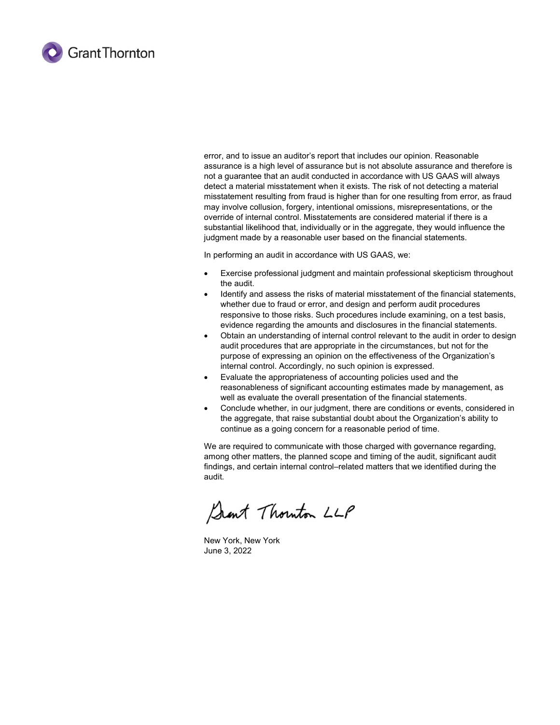

error, and to issue an auditor's report that includes our opinion. Reasonable assurance is a high level of assurance but is not absolute assurance and therefore is not a guarantee that an audit conducted in accordance with US GAAS will always detect a material misstatement when it exists. The risk of not detecting a material misstatement resulting from fraud is higher than for one resulting from error, as fraud may involve collusion, forgery, intentional omissions, misrepresentations, or the override of internal control. Misstatements are considered material if there is a substantial likelihood that, individually or in the aggregate, they would influence the judgment made by a reasonable user based on the financial statements.

In performing an audit in accordance with US GAAS, we:

- Exercise professional judgment and maintain professional skepticism throughout the audit.
- Identify and assess the risks of material misstatement of the financial statements, whether due to fraud or error, and design and perform audit procedures responsive to those risks. Such procedures include examining, on a test basis, evidence regarding the amounts and disclosures in the financial statements.
- Obtain an understanding of internal control relevant to the audit in order to design audit procedures that are appropriate in the circumstances, but not for the purpose of expressing an opinion on the effectiveness of the Organization's internal control. Accordingly, no such opinion is expressed.
- Evaluate the appropriateness of accounting policies used and the reasonableness of significant accounting estimates made by management, as well as evaluate the overall presentation of the financial statements.
- Conclude whether, in our judgment, there are conditions or events, considered in the aggregate, that raise substantial doubt about the Organization's ability to continue as a going concern for a reasonable period of time.

We are required to communicate with those charged with governance regarding, among other matters, the planned scope and timing of the audit, significant audit findings, and certain internal control–related matters that we identified during the audit.

Sant Thouton LLP

New York, New York June 3, 2022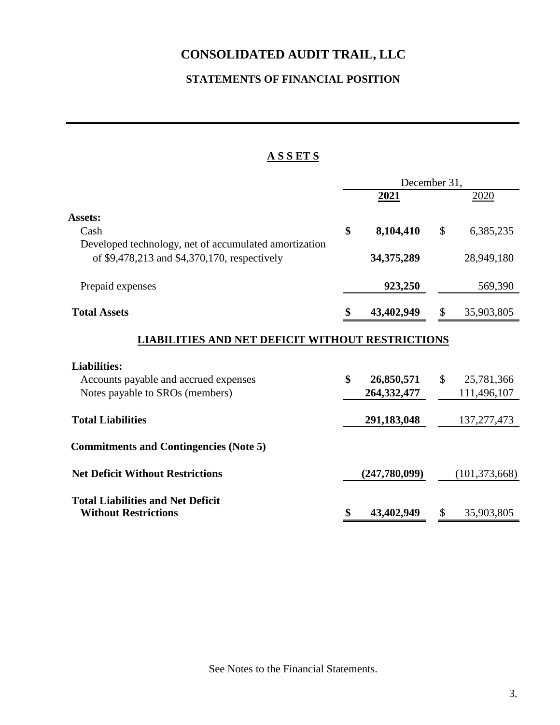## **STATEMENTS OF FINANCIAL POSITION**

### **A S S ET S**

|                                                                                                       | December 31, |                             |               |                 |
|-------------------------------------------------------------------------------------------------------|--------------|-----------------------------|---------------|-----------------|
|                                                                                                       |              | 2021                        |               | 2020            |
| Assets:                                                                                               |              |                             |               |                 |
| Cash                                                                                                  | \$           | 8,104,410                   | \$            | 6,385,235       |
| Developed technology, net of accumulated amortization<br>of \$9,478,213 and \$4,370,170, respectively |              | 34, 375, 289                |               | 28,949,180      |
| Prepaid expenses                                                                                      |              | 923,250                     |               | 569,390         |
| <b>Total Assets</b>                                                                                   |              | 43,402,949                  | \$            | 35,903,805      |
| <b>LIABILITIES AND NET DEFICIT</b>                                                                    |              | <b>WITHOUT RESTRICTIONS</b> |               |                 |
| <b>Liabilities:</b>                                                                                   |              |                             |               |                 |
| Accounts payable and accrued expenses                                                                 | \$           | 26,850,571                  | $\mathcal{S}$ | 25,781,366      |
| Notes payable to SROs (members)                                                                       |              | 264, 332, 477               |               | 111,496,107     |
| <b>Total Liabilities</b>                                                                              |              | 291,183,048                 |               | 137, 277, 473   |
| <b>Commitments and Contingencies (Note 5)</b>                                                         |              |                             |               |                 |
| <b>Net Deficit Without Restrictions</b>                                                               |              | (247,780,099)               |               | (101, 373, 668) |
| <b>Total Liabilities and Net Deficit</b>                                                              |              |                             |               |                 |
| <b>Without Restrictions</b>                                                                           |              | 43,402,949                  | S             | 35,903,805      |

See Notes to the Financial Statements.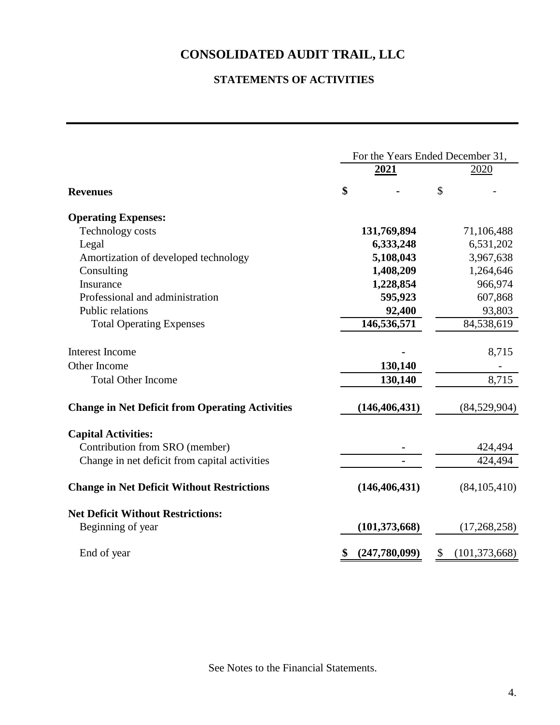## **STATEMENTS OF ACTIVITIES**

|                                                        | For the Years Ended December 31, |                 |    |                 |
|--------------------------------------------------------|----------------------------------|-----------------|----|-----------------|
|                                                        |                                  | 2021            |    | 2020            |
| <b>Revenues</b>                                        | \$                               |                 | \$ |                 |
| <b>Operating Expenses:</b>                             |                                  |                 |    |                 |
| Technology costs                                       |                                  | 131,769,894     |    | 71,106,488      |
| Legal                                                  |                                  | 6,333,248       |    | 6,531,202       |
| Amortization of developed technology                   |                                  | 5,108,043       |    | 3,967,638       |
| Consulting                                             |                                  | 1,408,209       |    | 1,264,646       |
| Insurance                                              |                                  | 1,228,854       |    | 966,974         |
| Professional and administration                        |                                  | 595,923         |    | 607,868         |
| Public relations                                       |                                  | 92,400          |    | 93,803          |
| <b>Total Operating Expenses</b>                        |                                  | 146,536,571     |    | 84,538,619      |
| Interest Income                                        |                                  |                 |    | 8,715           |
| Other Income                                           |                                  | 130,140         |    |                 |
| <b>Total Other Income</b>                              |                                  | 130,140         |    | 8,715           |
| <b>Change in Net Deficit from Operating Activities</b> |                                  | (146, 406, 431) |    | (84,529,904)    |
| <b>Capital Activities:</b>                             |                                  |                 |    |                 |
| Contribution from SRO (member)                         |                                  |                 |    | 424,494         |
| Change in net deficit from capital activities          |                                  |                 |    | 424,494         |
| <b>Change in Net Deficit Without Restrictions</b>      |                                  | (146, 406, 431) |    | (84, 105, 410)  |
| <b>Net Deficit Without Restrictions:</b>               |                                  |                 |    |                 |
| Beginning of year                                      |                                  | (101, 373, 668) |    | (17,268,258)    |
| End of year                                            | \$                               | (247,780,099)   | \$ | (101, 373, 668) |

See Notes to the Financial Statements.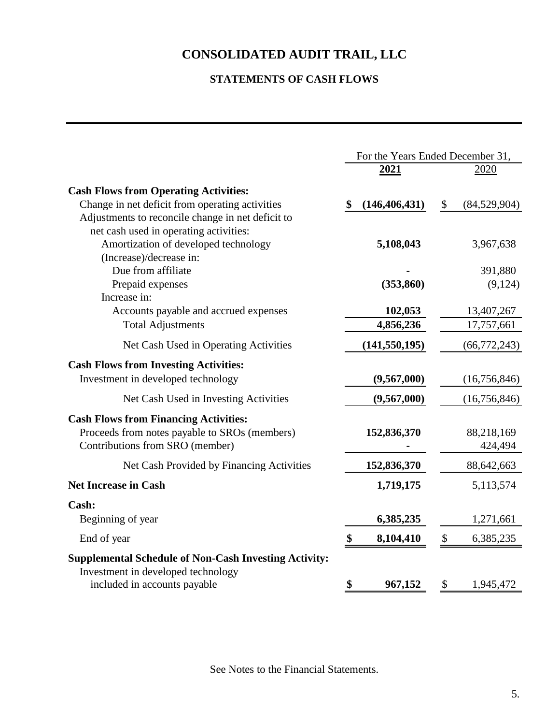## **STATEMENTS OF CASH FLOWS**

|                                                                                                                                                                | For the Years Ended December 31, |                                        |  |
|----------------------------------------------------------------------------------------------------------------------------------------------------------------|----------------------------------|----------------------------------------|--|
|                                                                                                                                                                | <u>2021</u>                      | 2020                                   |  |
| <b>Cash Flows from Operating Activities:</b><br>Change in net deficit from operating activities                                                                | (146, 406, 431)                  | \$<br>(84,529,904)                     |  |
| Adjustments to reconcile change in net deficit to<br>net cash used in operating activities:<br>Amortization of developed technology<br>(Increase)/decrease in: | 5,108,043                        | 3,967,638                              |  |
| Due from affiliate                                                                                                                                             |                                  | 391,880                                |  |
| Prepaid expenses                                                                                                                                               | (353, 860)                       | (9,124)                                |  |
| Increase in:<br>Accounts payable and accrued expenses<br><b>Total Adjustments</b>                                                                              | 102,053<br>4,856,236             | 13,407,267<br>17,757,661               |  |
| Net Cash Used in Operating Activities                                                                                                                          | (141, 550, 195)                  | (66, 772, 243)                         |  |
| <b>Cash Flows from Investing Activities:</b><br>Investment in developed technology                                                                             | (9,567,000)                      | (16,756,846)                           |  |
| Net Cash Used in Investing Activities                                                                                                                          | (9,567,000)                      | (16,756,846)                           |  |
| <b>Cash Flows from Financing Activities:</b><br>Proceeds from notes payable to SROs (members)<br>Contributions from SRO (member)                               | 152,836,370                      | 88,218,169<br>424,494                  |  |
| Net Cash Provided by Financing Activities                                                                                                                      | 152,836,370                      | 88,642,663                             |  |
| <b>Net Increase in Cash</b>                                                                                                                                    | 1,719,175                        | 5,113,574                              |  |
| Cash:<br>Beginning of year                                                                                                                                     | 6,385,235                        | 1,271,661                              |  |
| End of year                                                                                                                                                    | \$<br>8,104,410                  | $\boldsymbol{\mathsf{S}}$<br>6,385,235 |  |
| <b>Supplemental Schedule of Non-Cash Investing Activity:</b><br>Investment in developed technology                                                             |                                  |                                        |  |
| included in accounts payable                                                                                                                                   | \$<br>967,152                    | \$<br>1,945,472                        |  |

See Notes to the Financial Statements.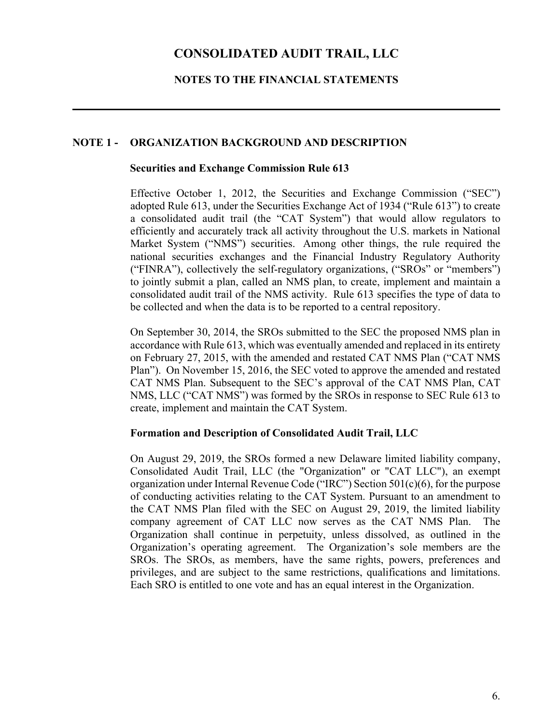### **NOTES TO THE FINANCIAL STATEMENTS**

#### **NOTE 1 - ORGANIZATION BACKGROUND AND DESCRIPTION**

#### **Securities and Exchange Commission Rule 613**

Effective October 1, 2012, the Securities and Exchange Commission ("SEC") adopted Rule 613, under the Securities Exchange Act of 1934 ("Rule 613") to create a consolidated audit trail (the "CAT System") that would allow regulators to efficiently and accurately track all activity throughout the U.S. markets in National Market System ("NMS") securities. Among other things, the rule required the national securities exchanges and the Financial Industry Regulatory Authority ("FINRA"), collectively the self-regulatory organizations, ("SROs" or "members") to jointly submit a plan, called an NMS plan, to create, implement and maintain a consolidated audit trail of the NMS activity. Rule 613 specifies the type of data to be collected and when the data is to be reported to a central repository.

On September 30, 2014, the SROs submitted to the SEC the proposed NMS plan in accordance with Rule 613, which was eventually amended and replaced in its entirety on February 27, 2015, with the amended and restated CAT NMS Plan ("CAT NMS Plan"). On November 15, 2016, the SEC voted to approve the amended and restated CAT NMS Plan. Subsequent to the SEC's approval of the CAT NMS Plan, CAT NMS, LLC ("CAT NMS") was formed by the SROs in response to SEC Rule 613 to create, implement and maintain the CAT System.

### **Formation and Description of Consolidated Audit Trail, LLC**

On August 29, 2019, the SROs formed a new Delaware limited liability company, Consolidated Audit Trail, LLC (the "Organization" or "CAT LLC"), an exempt organization under Internal Revenue Code ("IRC") Section  $501(c)(6)$ , for the purpose of conducting activities relating to the CAT System. Pursuant to an amendment to the CAT NMS Plan filed with the SEC on August 29, 2019, the limited liability company agreement of CAT LLC now serves as the CAT NMS Plan. The Organization shall continue in perpetuity, unless dissolved, as outlined in the Organization's operating agreement. The Organization's sole members are the SROs. The SROs, as members, have the same rights, powers, preferences and privileges, and are subject to the same restrictions, qualifications and limitations. Each SRO is entitled to one vote and has an equal interest in the Organization.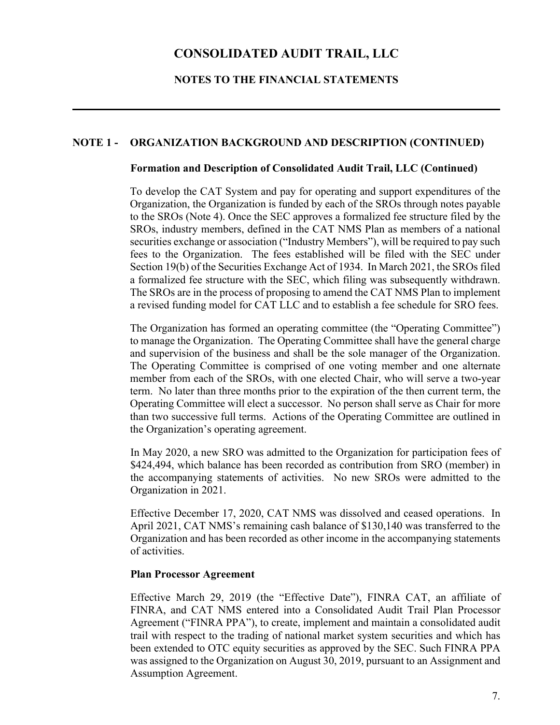### **NOTES TO THE FINANCIAL STATEMENTS**

### **NOTE 1 - ORGANIZATION BACKGROUND AND DESCRIPTION (CONTINUED)**

### **Formation and Description of Consolidated Audit Trail, LLC (Continued)**

To develop the CAT System and pay for operating and support expenditures of the Organization, the Organization is funded by each of the SROs through notes payable to the SROs (Note 4). Once the SEC approves a formalized fee structure filed by the SROs, industry members, defined in the CAT NMS Plan as members of a national securities exchange or association ("Industry Members"), will be required to pay such fees to the Organization. The fees established will be filed with the SEC under Section 19(b) of the Securities Exchange Act of 1934. In March 2021, the SROs filed a formalized fee structure with the SEC, which filing was subsequently withdrawn. The SROs are in the process of proposing to amend the CAT NMS Plan to implement a revised funding model for CAT LLC and to establish a fee schedule for SRO fees.

The Organization has formed an operating committee (the "Operating Committee") to manage the Organization. The Operating Committee shall have the general charge and supervision of the business and shall be the sole manager of the Organization. The Operating Committee is comprised of one voting member and one alternate member from each of the SROs, with one elected Chair, who will serve a two-year term. No later than three months prior to the expiration of the then current term, the Operating Committee will elect a successor. No person shall serve as Chair for more than two successive full terms. Actions of the Operating Committee are outlined in the Organization's operating agreement.

In May 2020, a new SRO was admitted to the Organization for participation fees of \$424,494, which balance has been recorded as contribution from SRO (member) in the accompanying statements of activities. No new SROs were admitted to the Organization in 2021.

Effective December 17, 2020, CAT NMS was dissolved and ceased operations. In April 2021, CAT NMS's remaining cash balance of \$130,140 was transferred to the Organization and has been recorded as other income in the accompanying statements of activities.

### **Plan Processor Agreement**

Effective March 29, 2019 (the "Effective Date"), FINRA CAT, an affiliate of FINRA, and CAT NMS entered into a Consolidated Audit Trail Plan Processor Agreement ("FINRA PPA"), to create, implement and maintain a consolidated audit trail with respect to the trading of national market system securities and which has been extended to OTC equity securities as approved by the SEC. Such FINRA PPA was assigned to the Organization on August 30, 2019, pursuant to an Assignment and Assumption Agreement.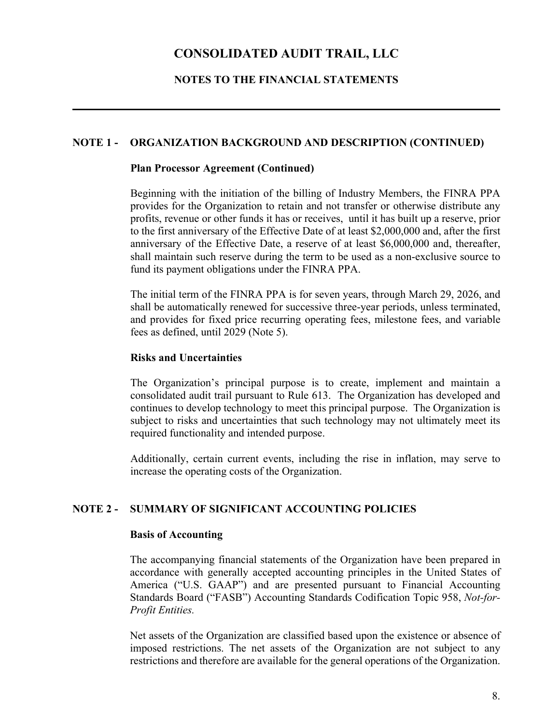### **NOTES TO THE FINANCIAL STATEMENTS**

### **NOTE 1 - ORGANIZATION BACKGROUND AND DESCRIPTION (CONTINUED)**

### **Plan Processor Agreement (Continued)**

Beginning with the initiation of the billing of Industry Members, the FINRA PPA provides for the Organization to retain and not transfer or otherwise distribute any profits, revenue or other funds it has or receives, until it has built up a reserve, prior to the first anniversary of the Effective Date of at least \$2,000,000 and, after the first anniversary of the Effective Date, a reserve of at least \$6,000,000 and, thereafter, shall maintain such reserve during the term to be used as a non-exclusive source to fund its payment obligations under the FINRA PPA.

The initial term of the FINRA PPA is for seven years, through March 29, 2026, and shall be automatically renewed for successive three-year periods, unless terminated, and provides for fixed price recurring operating fees, milestone fees, and variable fees as defined, until 2029 (Note 5).

#### **Risks and Uncertainties**

The Organization's principal purpose is to create, implement and maintain a consolidated audit trail pursuant to Rule 613. The Organization has developed and continues to develop technology to meet this principal purpose. The Organization is subject to risks and uncertainties that such technology may not ultimately meet its required functionality and intended purpose.

Additionally, certain current events, including the rise in inflation, may serve to increase the operating costs of the Organization.

### **NOTE 2 - SUMMARY OF SIGNIFICANT ACCOUNTING POLICIES**

#### **Basis of Accounting**

The accompanying financial statements of the Organization have been prepared in accordance with generally accepted accounting principles in the United States of America ("U.S. GAAP") and are presented pursuant to Financial Accounting Standards Board ("FASB") Accounting Standards Codification Topic 958, *Not-for-Profit Entities.* 

Net assets of the Organization are classified based upon the existence or absence of imposed restrictions. The net assets of the Organization are not subject to any restrictions and therefore are available for the general operations of the Organization.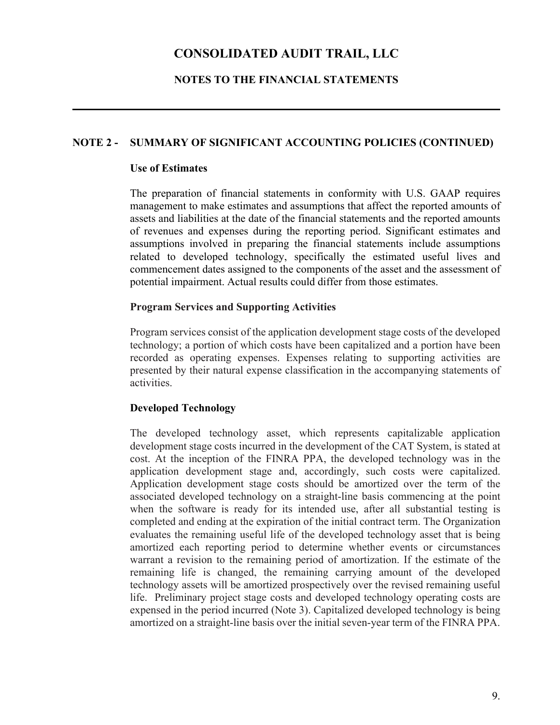### **NOTES TO THE FINANCIAL STATEMENTS**

### **NOTE 2 - SUMMARY OF SIGNIFICANT ACCOUNTING POLICIES (CONTINUED)**

### **Use of Estimates**

The preparation of financial statements in conformity with U.S. GAAP requires management to make estimates and assumptions that affect the reported amounts of assets and liabilities at the date of the financial statements and the reported amounts of revenues and expenses during the reporting period. Significant estimates and assumptions involved in preparing the financial statements include assumptions related to developed technology, specifically the estimated useful lives and commencement dates assigned to the components of the asset and the assessment of potential impairment. Actual results could differ from those estimates.

### **Program Services and Supporting Activities**

Program services consist of the application development stage costs of the developed technology; a portion of which costs have been capitalized and a portion have been recorded as operating expenses. Expenses relating to supporting activities are presented by their natural expense classification in the accompanying statements of activities.

### **Developed Technology**

The developed technology asset, which represents capitalizable application development stage costs incurred in the development of the CAT System, is stated at cost. At the inception of the FINRA PPA, the developed technology was in the application development stage and, accordingly, such costs were capitalized. Application development stage costs should be amortized over the term of the associated developed technology on a straight-line basis commencing at the point when the software is ready for its intended use, after all substantial testing is completed and ending at the expiration of the initial contract term. The Organization evaluates the remaining useful life of the developed technology asset that is being amortized each reporting period to determine whether events or circumstances warrant a revision to the remaining period of amortization. If the estimate of the remaining life is changed, the remaining carrying amount of the developed technology assets will be amortized prospectively over the revised remaining useful life. Preliminary project stage costs and developed technology operating costs are expensed in the period incurred (Note 3). Capitalized developed technology is being amortized on a straight-line basis over the initial seven-year term of the FINRA PPA.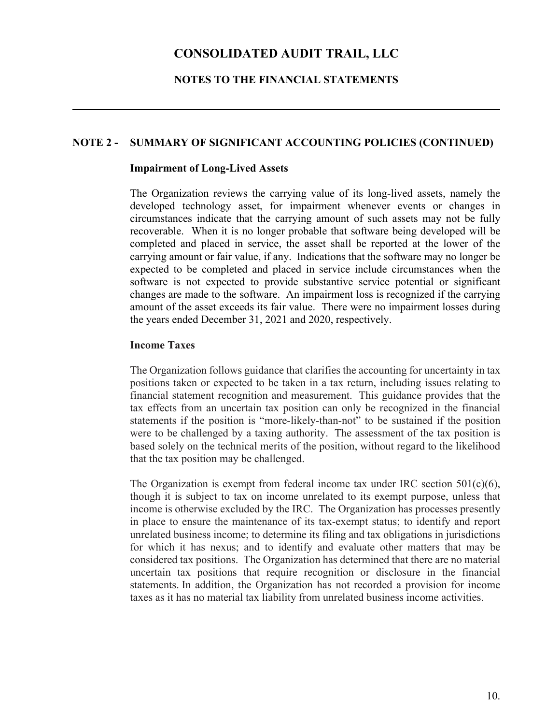### **NOTES TO THE FINANCIAL STATEMENTS**

### **NOTE 2 - SUMMARY OF SIGNIFICANT ACCOUNTING POLICIES (CONTINUED)**

### **Impairment of Long-Lived Assets**

The Organization reviews the carrying value of its long-lived assets, namely the developed technology asset, for impairment whenever events or changes in circumstances indicate that the carrying amount of such assets may not be fully recoverable. When it is no longer probable that software being developed will be completed and placed in service, the asset shall be reported at the lower of the carrying amount or fair value, if any. Indications that the software may no longer be expected to be completed and placed in service include circumstances when the software is not expected to provide substantive service potential or significant changes are made to the software. An impairment loss is recognized if the carrying amount of the asset exceeds its fair value. There were no impairment losses during the years ended December 31, 2021 and 2020, respectively.

### **Income Taxes**

The Organization follows guidance that clarifies the accounting for uncertainty in tax positions taken or expected to be taken in a tax return, including issues relating to financial statement recognition and measurement. This guidance provides that the tax effects from an uncertain tax position can only be recognized in the financial statements if the position is "more-likely-than-not" to be sustained if the position were to be challenged by a taxing authority. The assessment of the tax position is based solely on the technical merits of the position, without regard to the likelihood that the tax position may be challenged.

The Organization is exempt from federal income tax under IRC section  $501(c)(6)$ , though it is subject to tax on income unrelated to its exempt purpose, unless that income is otherwise excluded by the IRC. The Organization has processes presently in place to ensure the maintenance of its tax-exempt status; to identify and report unrelated business income; to determine its filing and tax obligations in jurisdictions for which it has nexus; and to identify and evaluate other matters that may be considered tax positions. The Organization has determined that there are no material uncertain tax positions that require recognition or disclosure in the financial statements. In addition, the Organization has not recorded a provision for income taxes as it has no material tax liability from unrelated business income activities.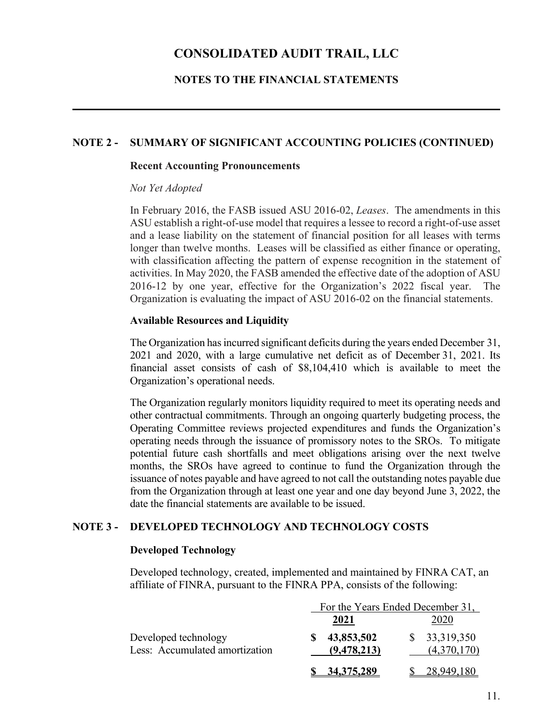### **NOTES TO THE FINANCIAL STATEMENTS**

### **NOTE 2 - SUMMARY OF SIGNIFICANT ACCOUNTING POLICIES (CONTINUED)**

#### **Recent Accounting Pronouncements**

#### *Not Yet Adopted*

In February 2016, the FASB issued ASU 2016-02, *Leases*. The amendments in this ASU establish a right-of-use model that requires a lessee to record a right-of-use asset and a lease liability on the statement of financial position for all leases with terms longer than twelve months. Leases will be classified as either finance or operating, with classification affecting the pattern of expense recognition in the statement of activities. In May 2020, the FASB amended the effective date of the adoption of ASU 2016-12 by one year, effective for the Organization's 2022 fiscal year. The Organization is evaluating the impact of ASU 2016-02 on the financial statements.

### **Available Resources and Liquidity**

The Organization has incurred significant deficits during the years ended December 31, 2021 and 2020, with a large cumulative net deficit as of December 31, 2021. Its financial asset consists of cash of \$8,104,410 which is available to meet the Organization's operational needs.

The Organization regularly monitors liquidity required to meet its operating needs and other contractual commitments. Through an ongoing quarterly budgeting process, the Operating Committee reviews projected expenditures and funds the Organization's operating needs through the issuance of promissory notes to the SROs. To mitigate potential future cash shortfalls and meet obligations arising over the next twelve months, the SROs have agreed to continue to fund the Organization through the issuance of notes payable and have agreed to not call the outstanding notes payable due from the Organization through at least one year and one day beyond June 3, 2022, the date the financial statements are available to be issued.

### **NOTE 3 - DEVELOPED TECHNOLOGY AND TECHNOLOGY COSTS**

### **Developed Technology**

Developed technology, created, implemented and maintained by FINRA CAT, an affiliate of FINRA, pursuant to the FINRA PPA, consists of the following:

|                                                        | For the Years Ended December 31, |                             |  |
|--------------------------------------------------------|----------------------------------|-----------------------------|--|
|                                                        | 2021                             | 2020                        |  |
| Developed technology<br>Less: Accumulated amortization | 43,853,502<br>(9,478,213)        | \$33,319,350<br>(4,370,170) |  |
|                                                        | <u>34,375,289</u>                | 78.                         |  |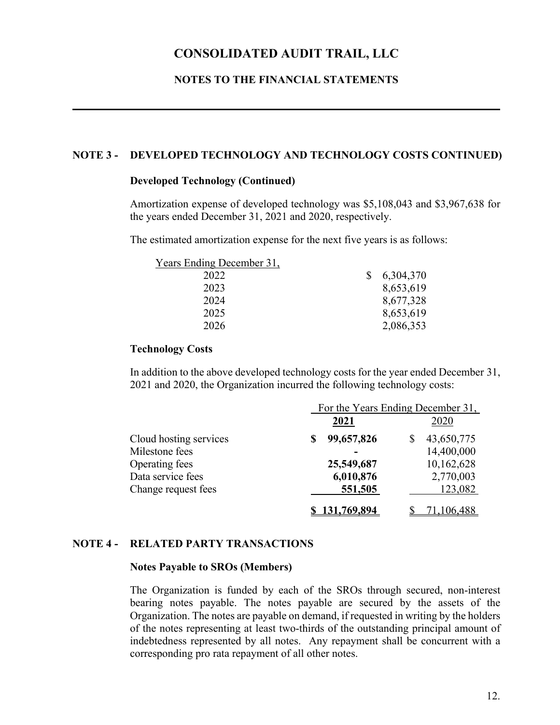### **NOTES TO THE FINANCIAL STATEMENTS**

### **NOTE 3 - DEVELOPED TECHNOLOGY AND TECHNOLOGY COSTS CONTINUED)**

### **Developed Technology (Continued)**

Amortization expense of developed technology was \$5,108,043 and \$3,967,638 for the years ended December 31, 2021 and 2020, respectively.

The estimated amortization expense for the next five years is as follows:

| Years Ending December 31, |    |           |
|---------------------------|----|-----------|
| 2022                      | S. | 6,304,370 |
| 2023                      |    | 8,653,619 |
| 2024                      |    | 8,677,328 |
| 2025                      |    | 8,653,619 |
| 2026                      |    | 2,086,353 |

### **Technology Costs**

In addition to the above developed technology costs for the year ended December 31, 2021 and 2020, the Organization incurred the following technology costs:

|                        | For the Years Ending December 31, |            |  |
|------------------------|-----------------------------------|------------|--|
|                        | 2021                              | 2020       |  |
| Cloud hosting services | 99,657,826<br>S                   | 43,650,775 |  |
| Milestone fees         |                                   | 14,400,000 |  |
| Operating fees         | 25,549,687                        | 10,162,628 |  |
| Data service fees      | 6,010,876                         | 2,770,003  |  |
| Change request fees    | 551,505                           | 123,082    |  |
|                        | 131,769,894                       | ,106,488   |  |

### **NOTE 4 - RELATED PARTY TRANSACTIONS**

#### **Notes Payable to SROs (Members)**

The Organization is funded by each of the SROs through secured, non-interest bearing notes payable. The notes payable are secured by the assets of the Organization. The notes are payable on demand, if requested in writing by the holders of the notes representing at least two-thirds of the outstanding principal amount of indebtedness represented by all notes. Any repayment shall be concurrent with a corresponding pro rata repayment of all other notes.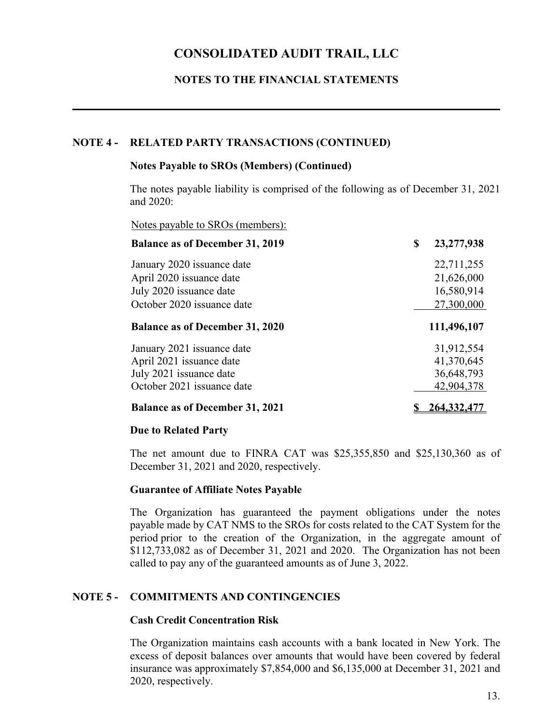### **NOTES TO THE FINANCIAL STATEMENTS**

### **NOTE 4 - RELATED PARTY TRANSACTIONS (CONTINUED)**

### **Notes Payable to SROs (Members) (Continued)**

The notes payable liability is comprised of the following as of December 31, 2021 and 2020:

Notes payable to SROs (members):

| <b>Balance as of December 31, 2019</b> | \$<br>23,277,938 |
|----------------------------------------|------------------|
| January 2020 issuance date             | 22,711,255       |
| April 2020 issuance date               | 21,626,000       |
| July 2020 issuance date                | 16,580,914       |
| October 2020 issuance date             | 27,300,000       |
| <b>Balance as of December 31, 2020</b> | 111,496,107      |
| January 2021 issuance date             | 31,912,554       |
| April 2021 issuance date               | 41,370,645       |
| July 2021 issuance date                | 36,648,793       |
| October 2021 issuance date             | 42,904,378       |
| <b>Balance as of December 31, 2021</b> | 264,332,477      |

### **Due to Related Party**

The net amount due to FINRA CAT was \$25,355,850 and \$25,130,360 as of December 31, 2021 and 2020, respectively.

### **Guarantee of Affiliate Notes Payable**

The Organization has guaranteed the payment obligations under the notes payable made by CAT NMS to the SROs for costs related to the CAT System for the period prior to the creation of the Organization, in the aggregate amount of \$112,733,082 as of December 31, 2021 and 2020. The Organization has not been called to pay any of the guaranteed amounts as of June 3, 2022.

### **NOTE 5 - COMMITMENTS AND CONTINGENCIES**

### **Cash Credit Concentration Risk**

The Organization maintains cash accounts with a bank located in New York. The excess of deposit balances over amounts that would have been covered by federal insurance was approximately \$7,854,000 and \$6,135,000 at December 31, 2021 and 2020, respectively.